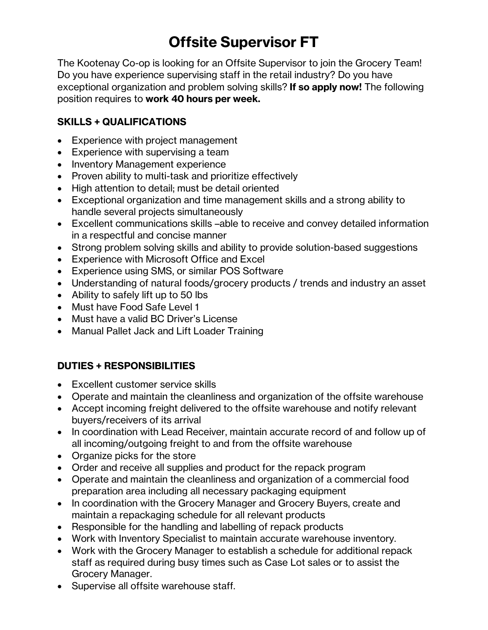## **Offsite Supervisor FT**

The Kootenay Co-op is looking for an Offsite Supervisor to join the Grocery Team! Do you have experience supervising staff in the retail industry? Do you have exceptional organization and problem solving skills? **If so apply now!** The following position requires to **work 40 hours per week.**

## **SKILLS + QUALIFICATIONS**

- Experience with project management
- Experience with supervising a team
- Inventory Management experience
- Proven ability to multi-task and prioritize effectively
- High attention to detail; must be detail oriented
- Exceptional organization and time management skills and a strong ability to handle several projects simultaneously
- Excellent communications skills –able to receive and convey detailed information in a respectful and concise manner
- Strong problem solving skills and ability to provide solution-based suggestions
- Experience with Microsoft Office and Excel
- Experience using SMS, or similar POS Software
- Understanding of natural foods/grocery products / trends and industry an asset
- Ability to safely lift up to 50 lbs
- Must have Food Safe Level 1
- Must have a valid BC Driver's License
- Manual Pallet Jack and Lift Loader Training

## **DUTIES + RESPONSIBILITIES**

- Excellent customer service skills
- Operate and maintain the cleanliness and organization of the offsite warehouse
- Accept incoming freight delivered to the offsite warehouse and notify relevant buyers/receivers of its arrival
- In coordination with Lead Receiver, maintain accurate record of and follow up of all incoming/outgoing freight to and from the offsite warehouse
- Organize picks for the store
- Order and receive all supplies and product for the repack program
- Operate and maintain the cleanliness and organization of a commercial food preparation area including all necessary packaging equipment
- In coordination with the Grocery Manager and Grocery Buyers, create and maintain a repackaging schedule for all relevant products
- Responsible for the handling and labelling of repack products
- Work with Inventory Specialist to maintain accurate warehouse inventory.
- Work with the Grocery Manager to establish a schedule for additional repack staff as required during busy times such as Case Lot sales or to assist the Grocery Manager.
- Supervise all offsite warehouse staff.